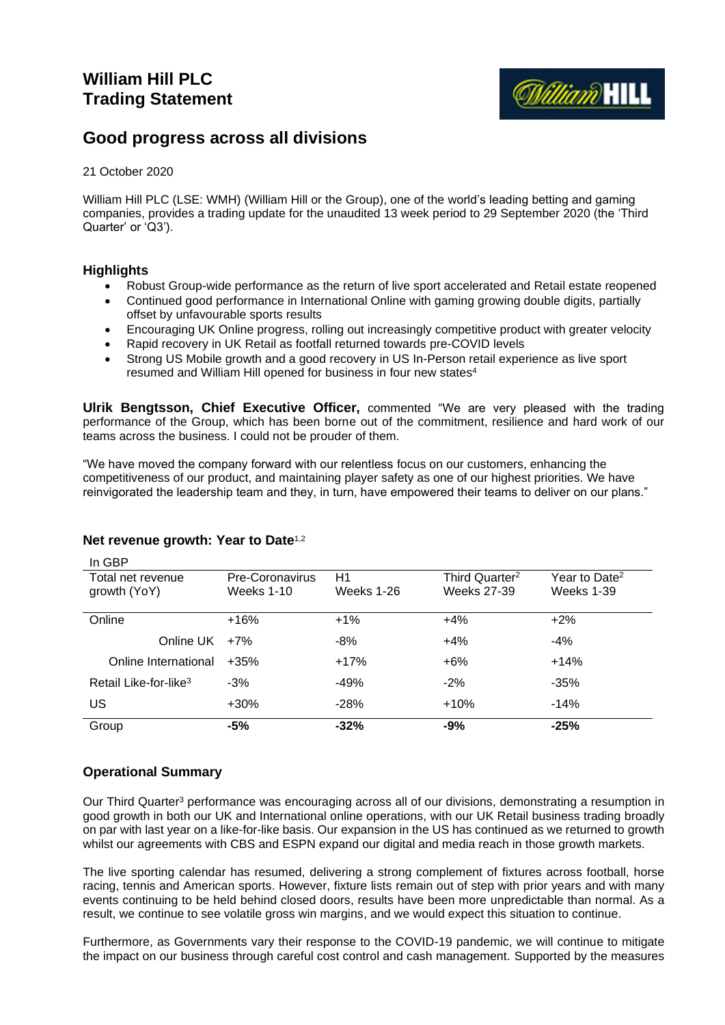

# **Good progress across all divisions**

### 21 October 2020

William Hill PLC (LSE: WMH) (William Hill or the Group), one of the world's leading betting and gaming companies, provides a trading update for the unaudited 13 week period to 29 September 2020 (the 'Third Quarter' or 'Q3').

### **Highlights**

 $\overline{a}$ 

- Robust Group-wide performance as the return of live sport accelerated and Retail estate reopened
- Continued good performance in International Online with gaming growing double digits, partially offset by unfavourable sports results
- Encouraging UK Online progress, rolling out increasingly competitive product with greater velocity
- Rapid recovery in UK Retail as footfall returned towards pre-COVID levels
- Strong US Mobile growth and a good recovery in US In-Person retail experience as live sport resumed and William Hill opened for business in four new states<sup>4</sup>

**Ulrik Bengtsson, Chief Executive Officer,** commented "We are very pleased with the trading performance of the Group, which has been borne out of the commitment, resilience and hard work of our teams across the business. I could not be prouder of them.

"We have moved the company forward with our relentless focus on our customers, enhancing the competitiveness of our product, and maintaining player safety as one of our highest priorities. We have reinvigorated the leadership team and they, in turn, have empowered their teams to deliver on our plans."

| IN GBF.                           |                 |            |                            |                           |
|-----------------------------------|-----------------|------------|----------------------------|---------------------------|
| Total net revenue                 | Pre-Coronavirus | H1         | Third Quarter <sup>2</sup> | Year to Date <sup>2</sup> |
| growth (YoY)                      | Weeks 1-10      | Weeks 1-26 | Weeks 27-39                | Weeks 1-39                |
|                                   |                 |            |                            |                           |
| Online                            | $+16%$          | $+1\%$     | $+4%$                      | $+2\%$                    |
| Online UK                         | $+7%$           | -8%        | $+4%$                      | $-4%$                     |
| Online International              | $+35%$          | $+17%$     | $+6%$                      | $+14%$                    |
| Retail Like-for-like <sup>3</sup> | $-3%$           | $-49%$     | $-2\%$                     | $-35%$                    |
| US                                | $+30%$          | $-28%$     | $+10%$                     | $-14%$                    |
| Group                             | $-5%$           | $-32%$     | $-9%$                      | $-25%$                    |

### **Net revenue growth: Year to Date**1,2

# **Operational Summary**

Our Third Quarter<sup>3</sup> performance was encouraging across all of our divisions, demonstrating a resumption in good growth in both our UK and International online operations, with our UK Retail business trading broadly on par with last year on a like-for-like basis. Our expansion in the US has continued as we returned to growth whilst our agreements with CBS and ESPN expand our digital and media reach in those growth markets.

The live sporting calendar has resumed, delivering a strong complement of fixtures across football, horse racing, tennis and American sports. However, fixture lists remain out of step with prior years and with many events continuing to be held behind closed doors, results have been more unpredictable than normal. As a result, we continue to see volatile gross win margins, and we would expect this situation to continue.

Furthermore, as Governments vary their response to the COVID-19 pandemic, we will continue to mitigate the impact on our business through careful cost control and cash management. Supported by the measures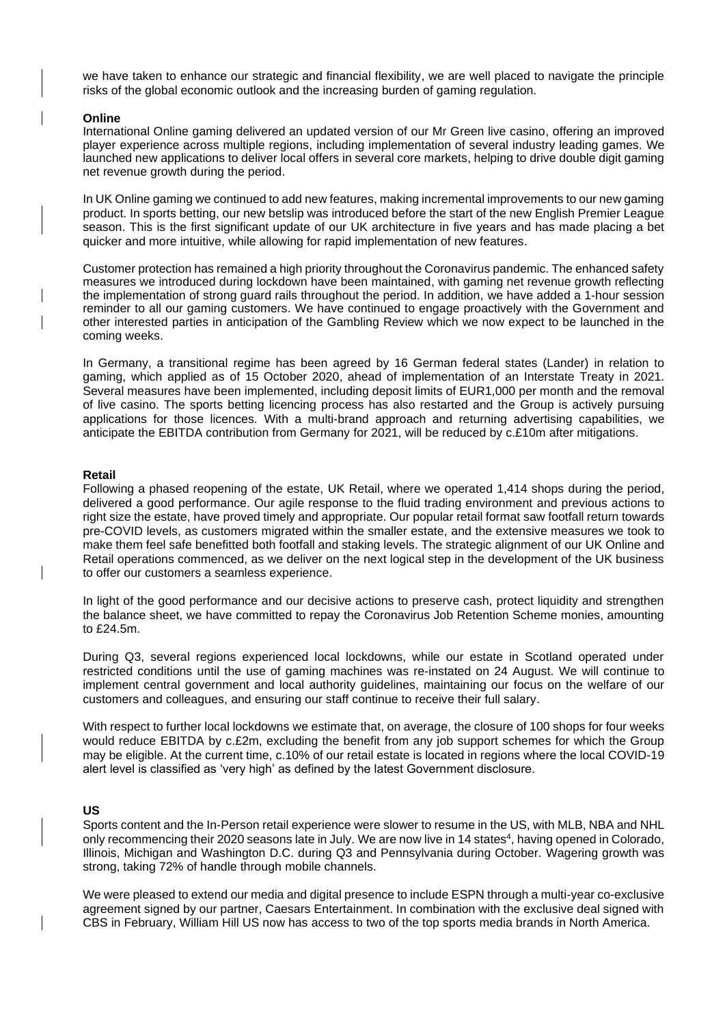we have taken to enhance our strategic and financial flexibility, we are well placed to navigate the principle risks of the global economic outlook and the increasing burden of gaming regulation.

#### **Online**

International Online gaming delivered an updated version of our Mr Green live casino, offering an improved player experience across multiple regions, including implementation of several industry leading games. We launched new applications to deliver local offers in several core markets, helping to drive double digit gaming net revenue growth during the period.

In UK Online gaming we continued to add new features, making incremental improvements to our new gaming product. In sports betting, our new betslip was introduced before the start of the new English Premier League season. This is the first significant update of our UK architecture in five years and has made placing a bet quicker and more intuitive, while allowing for rapid implementation of new features.

Customer protection has remained a high priority throughout the Coronavirus pandemic. The enhanced safety measures we introduced during lockdown have been maintained, with gaming net revenue growth reflecting the implementation of strong guard rails throughout the period. In addition, we have added a 1-hour session reminder to all our gaming customers. We have continued to engage proactively with the Government and other interested parties in anticipation of the Gambling Review which we now expect to be launched in the coming weeks.

In Germany, a transitional regime has been agreed by 16 German federal states (Lander) in relation to gaming, which applied as of 15 October 2020, ahead of implementation of an Interstate Treaty in 2021. Several measures have been implemented, including deposit limits of EUR1,000 per month and the removal of live casino. The sports betting licencing process has also restarted and the Group is actively pursuing applications for those licences. With a multi-brand approach and returning advertising capabilities, we anticipate the EBITDA contribution from Germany for 2021, will be reduced by c.£10m after mitigations.

#### **Retail**

Following a phased reopening of the estate, UK Retail, where we operated 1,414 shops during the period, delivered a good performance. Our agile response to the fluid trading environment and previous actions to right size the estate, have proved timely and appropriate. Our popular retail format saw footfall return towards pre-COVID levels, as customers migrated within the smaller estate, and the extensive measures we took to make them feel safe benefitted both footfall and staking levels. The strategic alignment of our UK Online and Retail operations commenced, as we deliver on the next logical step in the development of the UK business to offer our customers a seamless experience.

In light of the good performance and our decisive actions to preserve cash, protect liquidity and strengthen the balance sheet, we have committed to repay the Coronavirus Job Retention Scheme monies, amounting to £24.5m.

During Q3, several regions experienced local lockdowns, while our estate in Scotland operated under restricted conditions until the use of gaming machines was re-instated on 24 August. We will continue to implement central government and local authority guidelines, maintaining our focus on the welfare of our customers and colleagues, and ensuring our staff continue to receive their full salary.

With respect to further local lockdowns we estimate that, on average, the closure of 100 shops for four weeks would reduce EBITDA by c.£2m, excluding the benefit from any job support schemes for which the Group may be eligible. At the current time, c.10% of our retail estate is located in regions where the local COVID-19 alert level is classified as 'very high' as defined by the latest Government disclosure.

#### **US**

Sports content and the In-Person retail experience were slower to resume in the US, with MLB, NBA and NHL only recommencing their 2020 seasons late in July. We are now live in 14 states<sup>4</sup>, having opened in Colorado, Illinois, Michigan and Washington D.C. during Q3 and Pennsylvania during October. Wagering growth was strong, taking 72% of handle through mobile channels.

We were pleased to extend our media and digital presence to include ESPN through a multi-year co-exclusive agreement signed by our partner, Caesars Entertainment. In combination with the exclusive deal signed with CBS in February, William Hill US now has access to two of the top sports media brands in North America.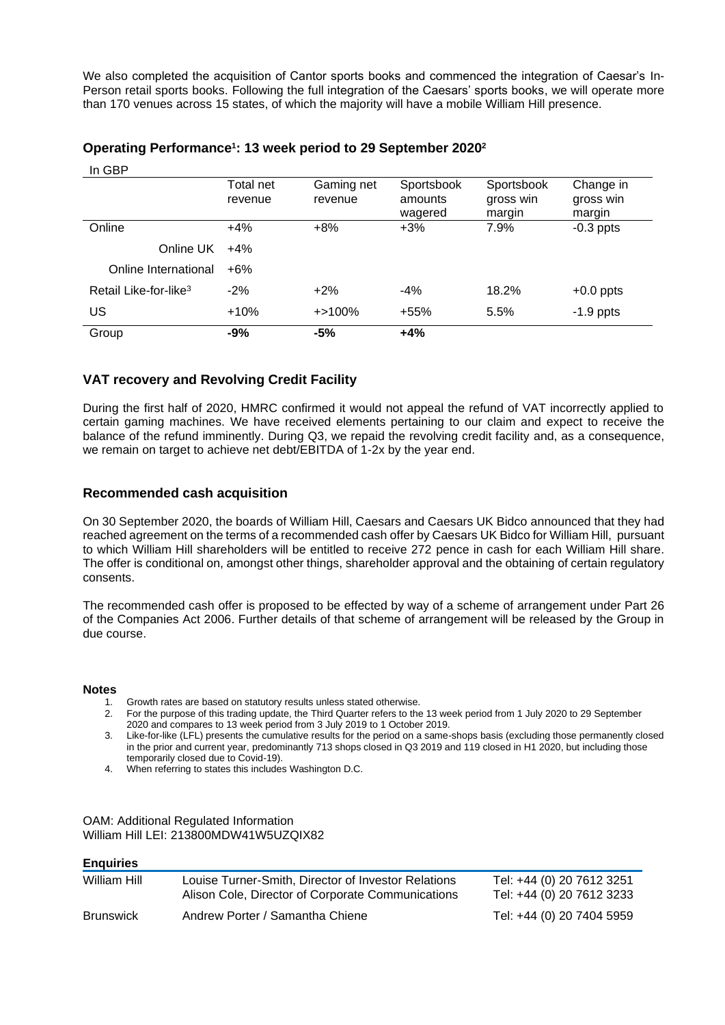We also completed the acquisition of Cantor sports books and commenced the integration of Caesar's In-Person retail sports books. Following the full integration of the Caesars' sports books, we will operate more than 170 venues across 15 states, of which the majority will have a mobile William Hill presence.

| In GBP                            | Total net<br>revenue | Gaming net<br>revenue | Sportsbook<br>amounts | Sportsbook<br>gross win | Change in<br>gross win |
|-----------------------------------|----------------------|-----------------------|-----------------------|-------------------------|------------------------|
|                                   |                      |                       | wagered               | margin                  | margin                 |
| Online                            | $+4%$                | $+8\%$                | $+3%$                 | 7.9%                    | $-0.3$ ppts            |
| Online UK                         | $+4%$                |                       |                       |                         |                        |
| Online International              | $+6%$                |                       |                       |                         |                        |
| Retail Like-for-like <sup>3</sup> | $-2%$                | $+2\%$                | $-4%$                 | 18.2%                   | $+0.0$ ppts            |
| US                                | $+10%$               | $+ > 100\%$           | $+55%$                | 5.5%                    | $-1.9$ ppts            |
| Group                             | $-9%$                | -5%                   | $+4%$                 |                         |                        |

### **Operating Performance<sup>1</sup> : 13 week period to 29 September 2020<sup>2</sup>**

# **VAT recovery and Revolving Credit Facility**

During the first half of 2020, HMRC confirmed it would not appeal the refund of VAT incorrectly applied to certain gaming machines. We have received elements pertaining to our claim and expect to receive the balance of the refund imminently. During Q3, we repaid the revolving credit facility and, as a consequence, we remain on target to achieve net debt/EBITDA of 1-2x by the year end.

### **Recommended cash acquisition**

On 30 September 2020, the boards of William Hill, Caesars and Caesars UK Bidco announced that they had reached agreement on the terms of a recommended cash offer by Caesars UK Bidco for William Hill, pursuant to which William Hill shareholders will be entitled to receive 272 pence in cash for each William Hill share. The offer is conditional on, amongst other things, shareholder approval and the obtaining of certain regulatory consents.

The recommended cash offer is proposed to be effected by way of a scheme of arrangement under Part 26 of the Companies Act 2006. Further details of that scheme of arrangement will be released by the Group in due course.

#### **Notes**

In GBP

- 1. Growth rates are based on statutory results unless stated otherwise.
- 2. For the purpose of this trading update, the Third Quarter refers to the 13 week period from 1 July 2020 to 29 September 2020 and compares to 13 week period from 3 July 2019 to 1 October 2019.
- 3. Like-for-like (LFL) presents the cumulative results for the period on a same-shops basis (excluding those permanently closed in the prior and current year, predominantly 713 shops closed in Q3 2019 and 119 closed in H1 2020, but including those temporarily closed due to Covid-19).
- 4. When referring to states this includes Washington D.C.

OAM: Additional Regulated Information William Hill LEI: 213800MDW41W5UZQIX82

#### **Enquiries**

| <u>—…q………</u>    |                                                                                                          |                                                        |
|------------------|----------------------------------------------------------------------------------------------------------|--------------------------------------------------------|
| William Hill     | Louise Turner-Smith, Director of Investor Relations<br>Alison Cole, Director of Corporate Communications | Tel: +44 (0) 20 7612 3251<br>Tel: +44 (0) 20 7612 3233 |
| <b>Brunswick</b> | Andrew Porter / Samantha Chiene                                                                          | Tel: +44 (0) 20 7404 5959                              |